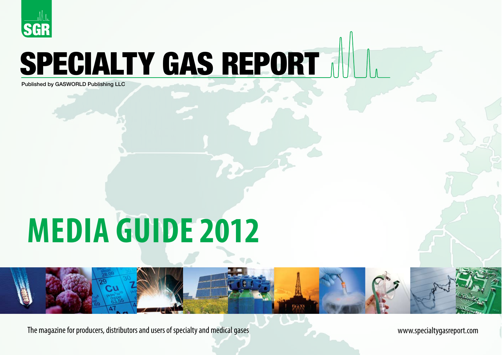

# SPECIALTY GAS REPORT

Published by GASWORLD Publishing LLC

# **MEDIA GUIDE 2012**

The magazine for producers, distributors and users of specialty and medical gases www.specialtygasreport.com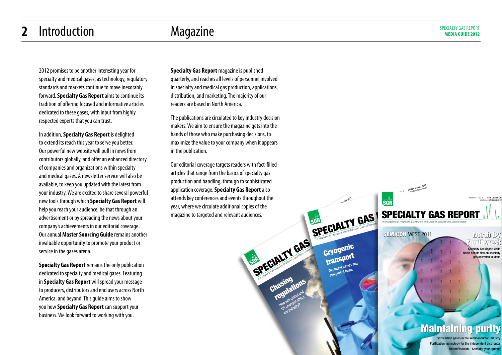#### **2** Introduction Magazine Magazine **Introduction** Magazine

2012 promises to be another interesting year for specialty and medical gases, as technology, regulatory standards and markets continue to move inexorably forward. **Specialty Gas Report** aims to continue its tradition of offering focused and informative articles dedicated to these gases, with input from highly respected experts that you can trust.

In addition, **Specialty Gas Report** is delighted to extend its reach this year to serve you better. Our powerful new website will pull in news from contributors globally, and offer an enhanced directory of companies and organizations within specialty and medical gases. A newsletter service will also be available, to keep you updated with the latest from your industry. We are excited to share several powerful new tools through which **Specialty Gas Report** will help you reach your audience, be that through an advertisement or by spreading the news about your company's achievements in our editorial coverage. Our annual **Master Sourcing Guide** remains another invaluable opportunity to promote your product or service in the gases arena.

**Specialty Gas Report** remains the only publication dedicated to specialty and medical gases. Featuring in **Specialty Gas Report** will spread your message to producers, distributors and end users across North America, and beyond. This guide aims to show you how **Specialty Gas Report** can support your business. We look forward to working with you.

**Specialty Gas Report** magazine is published quarterly, and reaches all levels of personnel involved in specialty and medical gas production, applications, distribution, and marketing. The majority of our readers are based in North America.

The publications are circulated to key industry decision makers. We aim to ensure the magazine gets into the hands of those who make purchasing decisions, to maximize the value to your company when it appears in the publication.

Our editorial coverage targets readers with fact-filled articles that range from the basics of specialty gas production and handling, through to sophisticated application coverage. **Specialty Gas Report** also attends key conferences and events throughout the year, where we circulate additional copies of the magazine to targeted and relevant audiences.

SGR

SPECIALTY GAS Gryog

Chasing change HOW will global and Jow will globaritect<br>low will globaritect a changerty?<br>S changerty?

Volume 14 No. 1 | First Quarter 2011

**Cryogeni** transport The latest trends and he lates are news

**SPECIALTY GAS SPECIA** 

SGR

Arrive prepared with our Pittcon preview  $\overline{\mathcal{M}}$ Maintaining purit

 $\mathbb{C}$ 

Volume 14No. 2 | Second Quarter 2011 Second Quarter Com

SEMIGON WEST 2011

 $\sqrt{2}$  $\sqrt{ }$  $\mathcal{L}_{\mathcal{L}}$  , , , Tips for targeting world markets

SPECIALTY GAS REPORT The Magazine for Producers, Distributors, and Users of Specialty and Medical Gases

 $\overline{\text{SGR}}$  www.specialtygasreport.com :...  $\overline{\text{1}}$ 

Hydrocarbon gases in the semiconductor industry Purification technology for the independent distributor United Vacuum – Consider your options

Volume 14 No. 3 | Third Quarter 201

Specialty Gas Report visits Norco and its NorLab specialty gas operation in Idaho

North by Northwest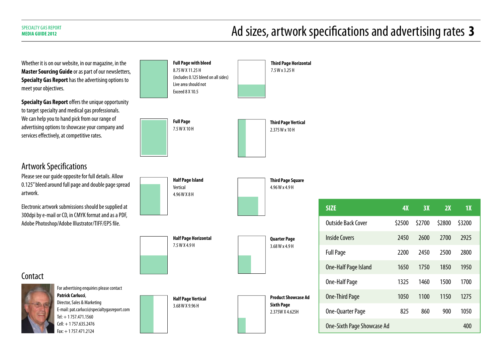## **Ad sizes, artwork specifications and advertising rates 3**  $\blacksquare$

**SIZE 4X 3X 2X 1X**

Outside Back Cover \$2500 \$2700 \$2800 \$3200

Inside Covers 2450 2600 2700 2925

Full Page 2200 2450 2500 2800

One-Half Page Island 1650 1750 1850 1950

One-Half Page 1325 1460 1500 1700

One-Third Page 1050 1100 1150 1275

One-Quarter Page 825 860 900 1050

One-Sixth Page Showcase Ad 400

Whether it is on our website, in our magazine, in the **Master Sourcing Guide** or as part of our newsletters, **Specialty Gas Report** has the advertising options to meet your objectives. **Specialty Gas Report** offers the unique opportunity to target specialty and medical gas professionals. We can help you to hand pick from our range of advertising options to showcase your company and services effectively, at competitive rates. Artwork Specifications Please see our guide opposite for full details. Allow 0.125" bleed around full page and double page spread artwork. Electronic artwork submissions should be supplied at 300dpi by e-mail or CD, in CMYK format and as a PDF, Adobe Photoshop/Adobe Illustrator/TIFF/EPS file. For advertising enquiries please contact **Patrick Carlucci**, Director, Sales & Marketing E-mail: pat.carlucci@specialtygasreport.com Tel: + 1 757.471.1560 Cell: + 1 757.635.2476 Fax: + 1 757.471.2124 **Full Page with bleed** 8.75 W X 11.25 H (includes 0.125 bleed on all sides) Live area should not Exceed 8 X 10.5 **Third Page Vertical** 2.375 W x 10 H **Product Showcase Ad Sixth Page** 2.375W X 4.625H **Quarter Page** 3.68 W x 4.9 H **Third Page Square** 4.96 W x 4.9 H **Third Page Horizontal** 7.5 W x 3.25 H **Half Page Vertical** 3.68 W X 9.96 H **Half Page Horizontal** 7.5 W X 4.9 H **Half Page Island** Vertical 4.96 W X 8 H **Full Page** 7.5 W X 10 H **Contact**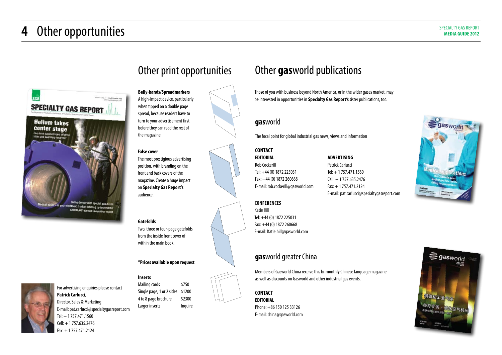## **4** Other opportunities SPECIALTY GAS REPORT





**Belly-bands/Spreadmarkers** A high-impact device, particularly when tipped on a double page spread, because readers have to turn to your advertisement first before they can read the rest of the magazine.

#### **False cover**

The most prestigious advertising position, with branding on the front and back covers of the magazine. Create a huge impact on **Specialty Gas Report's** audience.

**Gatefolds**

Two, three or four-page gatefolds from the inside front cover of within the main book.

#### **\*Prices available upon request**

#### **Inserts**

Cell: + 1 757.635.2476 Fax: + 1 757.471.2124

For advertising enquiries please contact **Patrick Carlucci**, Director, Sales & Marketing E-mail: pat.carlucci@specialtygasreport.com Tel: + 1 757.471.1560

Mailing cards \$750 Single page, 1 or 2 sides \$1200 4 to 8 page brochure \$2300 Larger inserts lnquire



### Other **gas**world publications

Those of you with business beyond North America, or in the wider gases market, may be interested in opportunities in **Specialty Gas Report's** sister publications, too.

#### **gas**world

The focal point for global industrial gas news, views and information

#### **CONTACT EDITORIAL**

Rob Cockerill Tel: +44 (0) 1872 225031 Fax: +44 (0) 1872 260668 E-mail: rob.cockerill@gasworld.com

**ADVERTISING** Patrick Carlucci Tel: + 1 757.471.1560 Cell: + 1 757.635.2476 Fax: + 1 757.471.2124 E-mail: pat.carlucci@specialtygasreport.com

**CONFERENCES**

Katie Hill Tel: +44 (0) 1872 225031 Fax: +44 (0) 1872 260668 E-mail: Katie.hill@gasworld.com

#### **gas**world greater China

Members of Gasworld China receive this bi-monthly Chinese language magazine as well as discounts on Gasworld and other industrial gas events.

**CONTACT**

**EDITORIAL** Phone: +86 150 125 33126 E-mail: china@gasworld.com



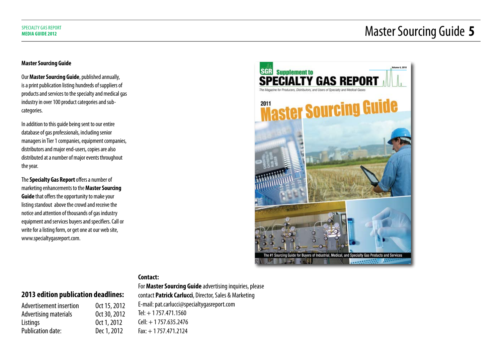## **Master Solution Case Report** and Expecial Ly GAS REPORT Sourcing Guide 5

#### **Master Sourcing Guide**

Our **Master Sourcing Guide**, published annually, is a print publication listing hundreds of suppliers of products and services to the specialty and medical gas industry in over 100 product categories and subcategories.

In addition to this guide being sent to our entire database of gas professionals, including senior managers in Tier 1 companies, equipment companies, distributors and major end-users, copies are also distributed at a number of major events throughout the year.

The **Specialty Gas Report** offers a number of marketing enhancements to the **Master Sourcing Guide** that offers the opportunity to make your listing standout above the crowd and receive the notice and attention of thousands of gas industry equipment and services buyers and specifiers. Call or write for a listing form, or get one at our web site, www.specialtygasreport.com.



#### **Contact:**

#### **2013 edition publication deadlines:**

| Oct 15, 2012 |
|--------------|
| Oct 30, 2012 |
| Oct 1, 2012  |
| Dec 1, 2012  |
|              |

For **Master Sourcing Guide** advertising inquiries, please contact **Patrick Carlucci**, Director, Sales & Marketing E-mail: pat.carlucci@specialtygasreport.com  $Tel: + 1757.471.1560$ Cell: + 1 757.635.2476 Fax: + 1 757.471.2124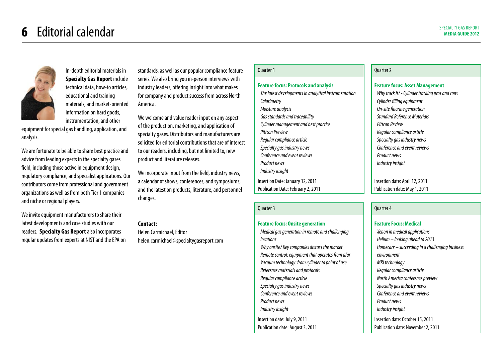## **6** Editorial calendar SPECIALTY GAS REPORT



In-depth editorial materials in **Specialty Gas Report** include technical data, how-to articles, educational and training materials, and market-oriented information on hard goods, instrumentation, and other

equipment for special gas handling, application, and analysis.

We are fortunate to be able to share best practice and advice from leading experts in the specialty gases field, including those active in equipment design, regulatory compliance, and specialist applications. Our contributors come from professional and government organizations as well as from both Tier 1 companies and niche or regional players.

We invite equipment manufacturers to share their latest developments and case studies with our readers. **Specialty Gas Report** also incorporates regular updates from experts at NIST and the EPA on standards, as well as our popular compliance feature series. We also bring you in-person interviews with industry leaders, offering insight into what makes for company and product success from across North America.

We welcome and value reader input on any aspect of the production, marketing, and application of specialty gases. Distributors and manufacturers are solicited for editorial contributions that are of interest to our readers, including, but not limited to, new product and literature releases.

We incorporate input from the field, industry news, a calendar of shows, conferences, and symposiums; and the latest on products, literature, and personnel changes.

#### **Contact:**

Helen Carmichael, Editor helen.carmichael@specialtygasreport.com

#### Quarter 1

#### **Feature focus: Protocols and analysis**

The latest developments in analytical instrumentation **Calorimetry** Moisture analysis Gas standards and traceability Cylinder management and best practice Pittcon Preview Regular compliance article Specialty gas industry news Conference and event reviews Product news Industry insight Insertion Date: January 12, 2011 Publication Date: February 2, 2011

#### Quarter 3

#### **Feature focus: Onsite generation** Medical gas generation in remote and challenging **locations**

Why onsite? Key companies discuss the market Remote control: equipment that operates from afar Vacuum technology: from cylinder to point of use Reference materials and protocols Regular compliance article Specialty gas industry news Conference and event reviews Product news Industry insight Insertion date: July 9, 2011 Publication date: August 3, 2011

#### Quarter 2

#### **Feature focus: Asset Management**

Why track it? - Cylinder tracking pros and cons Cylinder filling equipment On-site fluorine generation Standard Reference Materials Pittcon Review Regular compliance article Specialty gas industry news Conference and event reviews Product news Industry insight

Insertion date: April 12, 2011 Publication date: May 1, 2011

#### Quarter 4

**Feature Focus: Medical** Xenon in medical applications Helium – looking ahead to 2013 Homecare – succeeding in a challenging business environment MRI technology Regular compliance article North America conference preview Specialty gas industry news Conference and event reviews Product news Industry insight Insertion date: October 15, 2011 Publication date: November 2, 2011